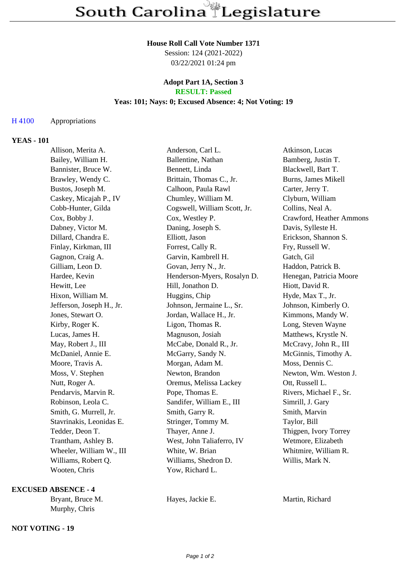#### **House Roll Call Vote Number 1371**

Session: 124 (2021-2022) 03/22/2021 01:24 pm

### **Adopt Part 1A, Section 3 RESULT: Passed**

### **Yeas: 101; Nays: 0; Excused Absence: 4; Not Voting: 19**

# H 4100 Appropriations

# **YEAS - 101**

| Allison, Merita A.        | Anderson, Carl L.            | Atkinson, Lucas          |
|---------------------------|------------------------------|--------------------------|
| Bailey, William H.        | Ballentine, Nathan           | Bamberg, Justin T.       |
| Bannister, Bruce W.       | Bennett, Linda               | Blackwell, Bart T.       |
| Brawley, Wendy C.         | Brittain, Thomas C., Jr.     | Burns, James Mikell      |
| Bustos, Joseph M.         | Calhoon, Paula Rawl          | Carter, Jerry T.         |
| Caskey, Micajah P., IV    | Chumley, William M.          | Clyburn, William         |
| Cobb-Hunter, Gilda        | Cogswell, William Scott, Jr. | Collins, Neal A.         |
| Cox, Bobby J.             | Cox, Westley P.              | Crawford, Heather Ammons |
| Dabney, Victor M.         | Daning, Joseph S.            | Davis, Sylleste H.       |
| Dillard, Chandra E.       | Elliott, Jason               | Erickson, Shannon S.     |
| Finlay, Kirkman, III      | Forrest, Cally R.            | Fry, Russell W.          |
| Gagnon, Craig A.          | Garvin, Kambrell H.          | Gatch, Gil               |
| Gilliam, Leon D.          | Govan, Jerry N., Jr.         | Haddon, Patrick B.       |
| Hardee, Kevin             | Henderson-Myers, Rosalyn D.  | Henegan, Patricia Moore  |
| Hewitt, Lee               | Hill, Jonathon D.            | Hiott, David R.          |
| Hixon, William M.         | Huggins, Chip                | Hyde, Max T., Jr.        |
| Jefferson, Joseph H., Jr. | Johnson, Jermaine L., Sr.    | Johnson, Kimberly O.     |
| Jones, Stewart O.         | Jordan, Wallace H., Jr.      | Kimmons, Mandy W.        |
| Kirby, Roger K.           | Ligon, Thomas R.             | Long, Steven Wayne       |
| Lucas, James H.           | Magnuson, Josiah             | Matthews, Krystle N.     |
| May, Robert J., III       | McCabe, Donald R., Jr.       | McCravy, John R., III    |
| McDaniel, Annie E.        | McGarry, Sandy N.            | McGinnis, Timothy A.     |
| Moore, Travis A.          | Morgan, Adam M.              | Moss, Dennis C.          |
| Moss, V. Stephen          | Newton, Brandon              | Newton, Wm. Weston J.    |
| Nutt, Roger A.            | Oremus, Melissa Lackey       | Ott, Russell L.          |
| Pendarvis, Marvin R.      | Pope, Thomas E.              | Rivers, Michael F., Sr.  |
| Robinson, Leola C.        | Sandifer, William E., III    | Simrill, J. Gary         |
| Smith, G. Murrell, Jr.    | Smith, Garry R.              | Smith, Marvin            |
| Stavrinakis, Leonidas E.  | Stringer, Tommy M.           | Taylor, Bill             |
| Tedder, Deon T.           | Thayer, Anne J.              | Thigpen, Ivory Torrey    |
| Trantham, Ashley B.       | West, John Taliaferro, IV    | Wetmore, Elizabeth       |
| Wheeler, William W., III  | White, W. Brian              | Whitmire, William R.     |
| Williams, Robert Q.       | Williams, Shedron D.         | Willis, Mark N.          |
| Wooten, Chris             | Yow, Richard L.              |                          |

### **EXCUSED ABSENCE - 4**

| Bryant, Bruce M. |  |
|------------------|--|
| Murphy, Chris    |  |

# **NOT VOTING - 19**

Hayes, Jackie E. Martin, Richard